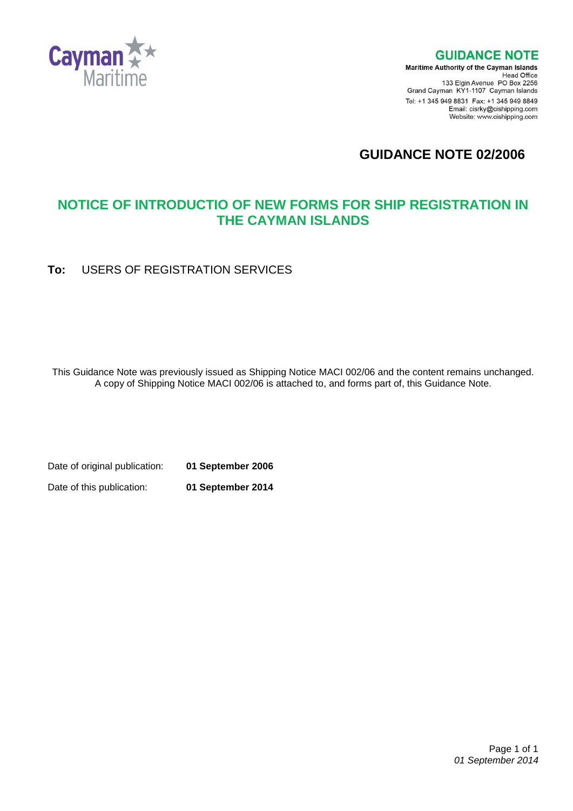

### **GUIDANCE NOTE**

**Maritime Authority of the Cayman Islands** Head Office<br>Head Office<br>133 Elgin Avenue PO Box 2256 Grand Cayman KY1-1107 Cayman Islands Tel: +1 345 949 8831 Fax: +1 345 949 8849 Email: cisrky@cishipping.com Website: www.cishipping.com

**GUIDANCE NOTE 02/2006**

## **NOTICE OF INTRODUCTIO OF NEW FORMS FOR SHIP REGISTRATION IN THE CAYMAN ISLANDS**

**To:** USERS OF REGISTRATION SERVICES

This Guidance Note was previously issued as Shipping Notice MACI 002/06 and the content remains unchanged. A copy of Shipping Notice MACI 002/06 is attached to, and forms part of, this Guidance Note.

Date of original publication: **01 September 2006**

Date of this publication: **01 September 2014**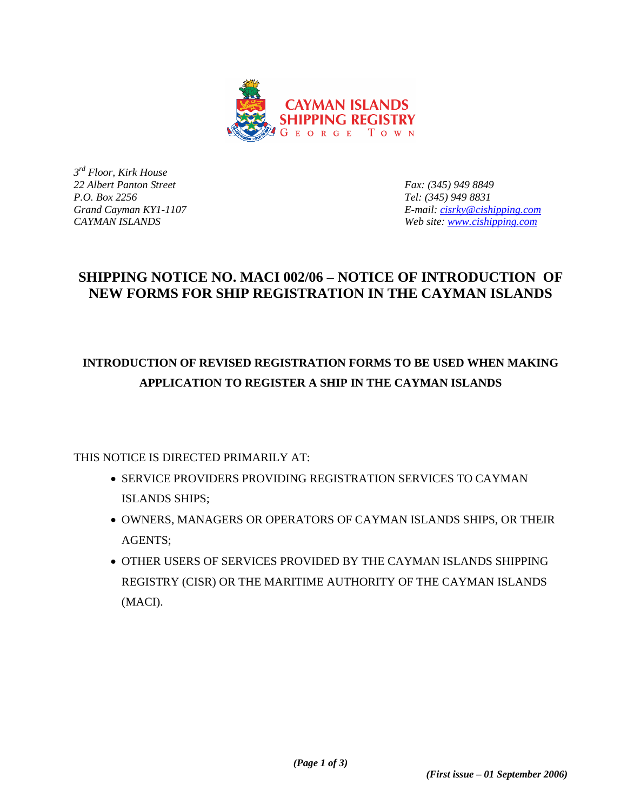

*3rd Floor, Kirk House 22 Albert Panton Street Fax: (345) 949 8849* 

*P.O. Box 2256 Tel: (345) 949 8831 Grand Cayman KY1-1107 E-mail: [cisrky@cishipping.com](mailto:cisrky@cishipping.com) CAYMAN ISLANDS Web site: [www.cishipping.com](http://www.cishipping.com/)*

### **SHIPPING NOTICE NO. MACI 002/06 – NOTICE OF INTRODUCTION OF NEW FORMS FOR SHIP REGISTRATION IN THE CAYMAN ISLANDS**

# **INTRODUCTION OF REVISED REGISTRATION FORMS TO BE USED WHEN MAKING APPLICATION TO REGISTER A SHIP IN THE CAYMAN ISLANDS**

THIS NOTICE IS DIRECTED PRIMARILY AT:

- SERVICE PROVIDERS PROVIDING REGISTRATION SERVICES TO CAYMAN ISLANDS SHIPS;
- OWNERS, MANAGERS OR OPERATORS OF CAYMAN ISLANDS SHIPS, OR THEIR AGENTS;
- OTHER USERS OF SERVICES PROVIDED BY THE CAYMAN ISLANDS SHIPPING REGISTRY (CISR) OR THE MARITIME AUTHORITY OF THE CAYMAN ISLANDS (MACI).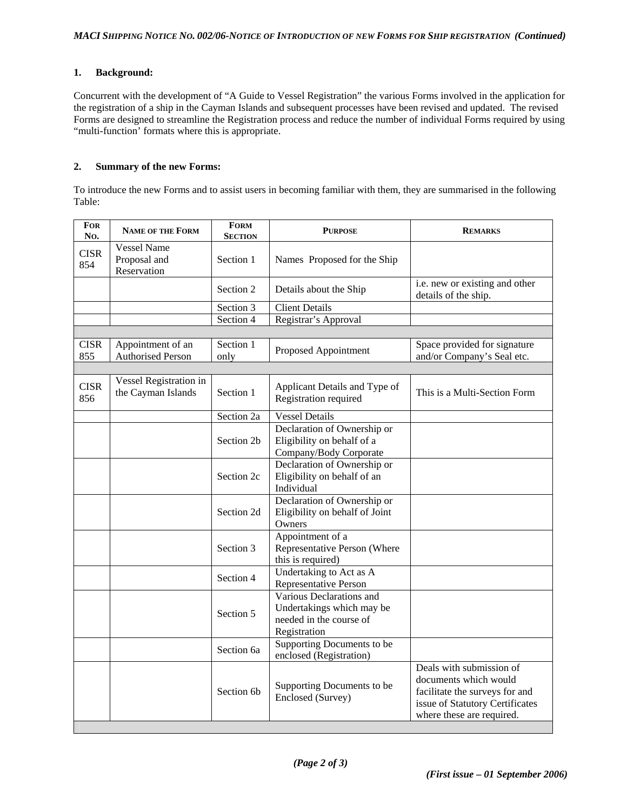#### **1. Background:**

Concurrent with the development of "A Guide to Vessel Registration" the various Forms involved in the application for the registration of a ship in the Cayman Islands and subsequent processes have been revised and updated. The revised Forms are designed to streamline the Registration process and reduce the number of individual Forms required by using "multi-function' formats where this is appropriate.

#### **2. Summary of the new Forms:**

To introduce the new Forms and to assist users in becoming familiar with them, they are summarised in the following Table:

| <b>FOR</b><br>No.  | <b>NAME OF THE FORM</b>                       | <b>FORM</b><br><b>SECTION</b> | <b>PURPOSE</b>                                                                                   | <b>REMARKS</b>                                                                                                                                      |
|--------------------|-----------------------------------------------|-------------------------------|--------------------------------------------------------------------------------------------------|-----------------------------------------------------------------------------------------------------------------------------------------------------|
| <b>CISR</b><br>854 | Vessel Name<br>Proposal and<br>Reservation    | Section 1                     | Names Proposed for the Ship                                                                      |                                                                                                                                                     |
|                    |                                               | Section 2                     | Details about the Ship                                                                           | i.e. new or existing and other<br>details of the ship.                                                                                              |
|                    |                                               | Section 3                     | <b>Client Details</b>                                                                            |                                                                                                                                                     |
|                    |                                               | Section 4                     | Registrar's Approval                                                                             |                                                                                                                                                     |
|                    |                                               |                               |                                                                                                  |                                                                                                                                                     |
| <b>CISR</b><br>855 | Appointment of an<br><b>Authorised Person</b> | Section 1<br>only             | Proposed Appointment                                                                             | Space provided for signature<br>and/or Company's Seal etc.                                                                                          |
|                    |                                               |                               |                                                                                                  |                                                                                                                                                     |
| <b>CISR</b><br>856 | Vessel Registration in<br>the Cayman Islands  | Section 1                     | Applicant Details and Type of<br>Registration required                                           | This is a Multi-Section Form                                                                                                                        |
|                    |                                               | Section 2a                    | <b>Vessel Details</b>                                                                            |                                                                                                                                                     |
|                    |                                               | Section 2b                    | Declaration of Ownership or<br>Eligibility on behalf of a<br>Company/Body Corporate              |                                                                                                                                                     |
|                    |                                               | Section 2c                    | Declaration of Ownership or<br>Eligibility on behalf of an<br>Individual                         |                                                                                                                                                     |
|                    |                                               | Section 2d                    | Declaration of Ownership or<br>Eligibility on behalf of Joint<br>Owners                          |                                                                                                                                                     |
|                    |                                               | Section 3                     | Appointment of a<br>Representative Person (Where<br>this is required)                            |                                                                                                                                                     |
|                    |                                               | Section 4                     | Undertaking to Act as A<br>Representative Person                                                 |                                                                                                                                                     |
|                    |                                               | Section 5                     | Various Declarations and<br>Undertakings which may be<br>needed in the course of<br>Registration |                                                                                                                                                     |
|                    |                                               | Section 6a                    | Supporting Documents to be<br>enclosed (Registration)                                            |                                                                                                                                                     |
|                    |                                               | Section 6 <sub>b</sub>        | Supporting Documents to be<br>Enclosed (Survey)                                                  | Deals with submission of<br>documents which would<br>facilitate the surveys for and<br>issue of Statutory Certificates<br>where these are required. |